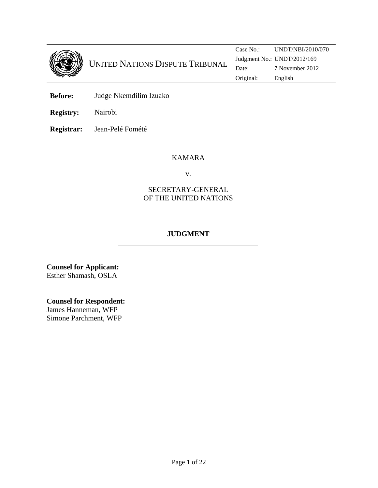

**Before:** Judge Nkemdilim Izuako

**Registry:** Nairobi

**Registrar:** Jean-Pelé Fomété

## KAMARA

v.

## SECRETARY-GENERAL OF THE UNITED NATIONS

## **JUDGMENT**

**Counsel for Applicant:**  Esther Shamash, OSLA

### **Counsel for Respondent:**

James Hanneman, WFP Simone Parchment, WFP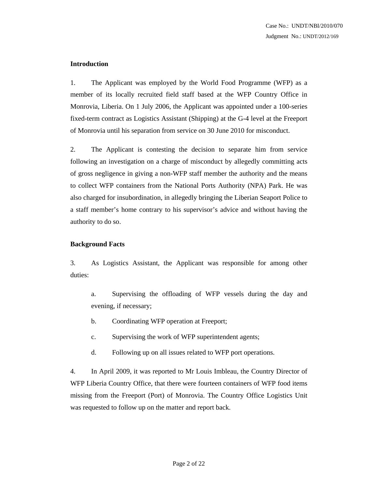#### **Introduction**

1. The Applicant was employed by the World Food Programme (WFP) as a member of its locally recruited field staff based at the WFP Country Office in Monrovia, Liberia. On 1 July 2006, the Applicant was appointed under a 100-series fixed-term contract as Logistics Assistant (Shipping) at the G-4 level at the Freeport of Monrovia until his separation from service on 30 June 2010 for misconduct.

2. The Applicant is contesting the decision to separate him from service following an investigation on a charge of misconduct by allegedly committing acts of gross negligence in giving a non-WFP staff member the authority and the means to collect WFP containers from the National Ports Authority (NPA) Park. He was also charged for insubordination, in allegedly bringing the Liberian Seaport Police to a staff member's home contrary to his supervisor's advice and without having the authority to do so.

#### **Background Facts**

3. As Logistics Assistant, the Applicant was responsible for among other duties:

- a. Supervising the offloading of WFP vessels during the day and evening, if necessary;
- b. Coordinating WFP operation at Freeport;
- c. Supervising the work of WFP superintendent agents;
- d. Following up on all issues related to WFP port operations.

4. In April 2009, it was reported to Mr Louis Imbleau, the Country Director of WFP Liberia Country Office, that there were fourteen containers of WFP food items missing from the Freeport (Port) of Monrovia. The Country Office Logistics Unit was requested to follow up on the matter and report back.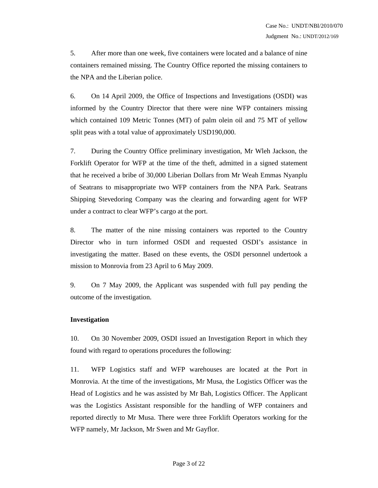5. After more than one week, five containers were located and a balance of nine containers remained missing. The Country Office reported the missing containers to the NPA and the Liberian police.

6. On 14 April 2009, the Office of Inspections and Investigations (OSDI) was informed by the Country Director that there were nine WFP containers missing which contained 109 Metric Tonnes (MT) of palm olein oil and 75 MT of yellow split peas with a total value of approximately USD190,000.

7. During the Country Office preliminary investigation, Mr Wleh Jackson, the Forklift Operator for WFP at the time of the theft, admitted in a signed statement that he received a bribe of 30,000 Liberian Dollars from Mr Weah Emmas Nyanplu of Seatrans to misappropriate two WFP containers from the NPA Park. Seatrans Shipping Stevedoring Company was the clearing and forwarding agent for WFP under a contract to clear WFP's cargo at the port.

8. The matter of the nine missing containers was reported to the Country Director who in turn informed OSDI and requested OSDI's assistance in investigating the matter. Based on these events, the OSDI personnel undertook a mission to Monrovia from 23 April to 6 May 2009.

9. On 7 May 2009, the Applicant was suspended with full pay pending the outcome of the investigation.

#### **Investigation**

10. On 30 November 2009, OSDI issued an Investigation Report in which they found with regard to operations procedures the following:

11. WFP Logistics staff and WFP warehouses are located at the Port in Monrovia. At the time of the investigations, Mr Musa, the Logistics Officer was the Head of Logistics and he was assisted by Mr Bah, Logistics Officer. The Applicant was the Logistics Assistant responsible for the handling of WFP containers and reported directly to Mr Musa. There were three Forklift Operators working for the WFP namely, Mr Jackson, Mr Swen and Mr Gayflor.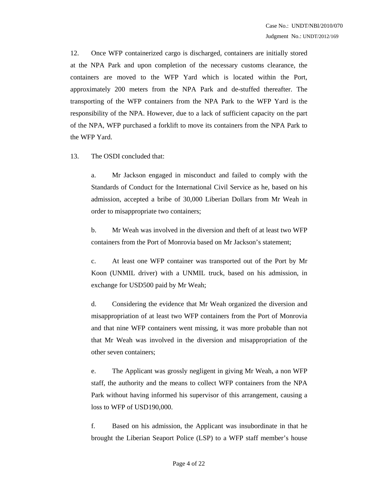12. Once WFP containerized cargo is discharged, containers are initially stored at the NPA Park and upon completion of the necessary customs clearance, the containers are moved to the WFP Yard which is located within the Port, approximately 200 meters from the NPA Park and de-stuffed thereafter. The transporting of the WFP containers from the NPA Park to the WFP Yard is the responsibility of the NPA. However, due to a lack of sufficient capacity on the part of the NPA, WFP purchased a forklift to move its containers from the NPA Park to the WFP Yard.

13. The OSDI concluded that:

a. Mr Jackson engaged in misconduct and failed to comply with the Standards of Conduct for the International Civil Service as he, based on his admission, accepted a bribe of 30,000 Liberian Dollars from Mr Weah in order to misappropriate two containers;

b. Mr Weah was involved in the diversion and theft of at least two WFP containers from the Port of Monrovia based on Mr Jackson's statement;

c. At least one WFP container was transported out of the Port by Mr Koon (UNMIL driver) with a UNMIL truck, based on his admission, in exchange for USD500 paid by Mr Weah;

d. Considering the evidence that Mr Weah organized the diversion and misappropriation of at least two WFP containers from the Port of Monrovia and that nine WFP containers went missing, it was more probable than not that Mr Weah was involved in the diversion and misappropriation of the other seven containers;

e. The Applicant was grossly negligent in giving Mr Weah, a non WFP staff, the authority and the means to collect WFP containers from the NPA Park without having informed his supervisor of this arrangement, causing a loss to WFP of USD190,000.

f. Based on his admission, the Applicant was insubordinate in that he brought the Liberian Seaport Police (LSP) to a WFP staff member's house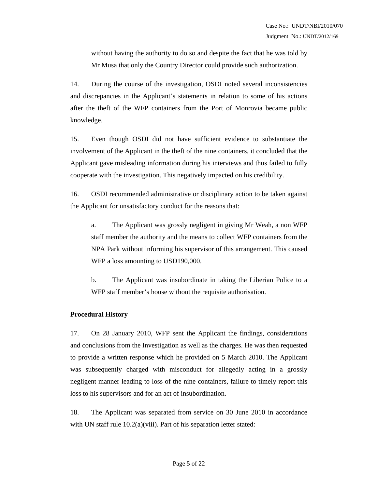without having the authority to do so and despite the fact that he was told by Mr Musa that only the Country Director could provide such authorization.

14. During the course of the investigation, OSDI noted several inconsistencies and discrepancies in the Applicant's statements in relation to some of his actions after the theft of the WFP containers from the Port of Monrovia became public knowledge.

15. Even though OSDI did not have sufficient evidence to substantiate the involvement of the Applicant in the theft of the nine containers, it concluded that the Applicant gave misleading information during his interviews and thus failed to fully cooperate with the investigation. This negatively impacted on his credibility.

16. OSDI recommended administrative or disciplinary action to be taken against the Applicant for unsatisfactory conduct for the reasons that:

a. The Applicant was grossly negligent in giving Mr Weah, a non WFP staff member the authority and the means to collect WFP containers from the NPA Park without informing his supervisor of this arrangement. This caused WFP a loss amounting to USD190,000.

b. The Applicant was insubordinate in taking the Liberian Police to a WFP staff member's house without the requisite authorisation.

#### **Procedural History**

17. On 28 January 2010, WFP sent the Applicant the findings, considerations and conclusions from the Investigation as well as the charges. He was then requested to provide a written response which he provided on 5 March 2010. The Applicant was subsequently charged with misconduct for allegedly acting in a grossly negligent manner leading to loss of the nine containers, failure to timely report this loss to his supervisors and for an act of insubordination.

18. The Applicant was separated from service on 30 June 2010 in accordance with UN staff rule 10.2(a)(viii). Part of his separation letter stated: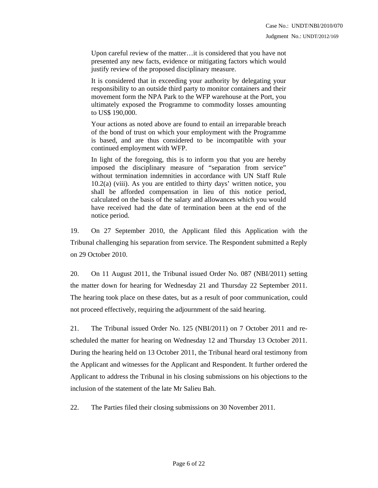Upon careful review of the matter…it is considered that you have not presented any new facts, evidence or mitigating factors which would justify review of the proposed disciplinary measure.

It is considered that in exceeding your authority by delegating your responsibility to an outside third party to monitor containers and their movement form the NPA Park to the WFP warehouse at the Port, you ultimately exposed the Programme to commodity losses amounting to US\$ 190,000.

Your actions as noted above are found to entail an irreparable breach of the bond of trust on which your employment with the Programme is based, and are thus considered to be incompatible with your continued employment with WFP.

In light of the foregoing, this is to inform you that you are hereby imposed the disciplinary measure of "separation from service" without termination indemnities in accordance with UN Staff Rule 10.2(a) (viii). As you are entitled to thirty days' written notice, you shall be afforded compensation in lieu of this notice period, calculated on the basis of the salary and allowances which you would have received had the date of termination been at the end of the notice period.

19. On 27 September 2010, the Applicant filed this Application with the Tribunal challenging his separation from service. The Respondent submitted a Reply on 29 October 2010.

20. On 11 August 2011, the Tribunal issued Order No. 087 (NBI/2011) setting the matter down for hearing for Wednesday 21 and Thursday 22 September 2011. The hearing took place on these dates, but as a result of poor communication, could not proceed effectively, requiring the adjournment of the said hearing.

21. The Tribunal issued Order No. 125 (NBI/2011) on 7 October 2011 and rescheduled the matter for hearing on Wednesday 12 and Thursday 13 October 2011. During the hearing held on 13 October 2011, the Tribunal heard oral testimony from the Applicant and witnesses for the Applicant and Respondent. It further ordered the Applicant to address the Tribunal in his closing submissions on his objections to the inclusion of the statement of the late Mr Salieu Bah.

22. The Parties filed their closing submissions on 30 November 2011.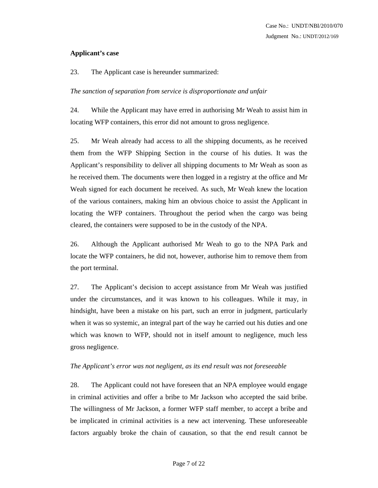#### **Applicant's case**

23. The Applicant case is hereunder summarized:

#### *The sanction of separation from service is disproportionate and unfair*

24. While the Applicant may have erred in authorising Mr Weah to assist him in locating WFP containers, this error did not amount to gross negligence.

25. Mr Weah already had access to all the shipping documents, as he received them from the WFP Shipping Section in the course of his duties. It was the Applicant's responsibility to deliver all shipping documents to Mr Weah as soon as he received them. The documents were then logged in a registry at the office and Mr Weah signed for each document he received. As such, Mr Weah knew the location of the various containers, making him an obvious choice to assist the Applicant in locating the WFP containers. Throughout the period when the cargo was being cleared, the containers were supposed to be in the custody of the NPA.

26. Although the Applicant authorised Mr Weah to go to the NPA Park and locate the WFP containers, he did not, however, authorise him to remove them from the port terminal.

27. The Applicant's decision to accept assistance from Mr Weah was justified under the circumstances, and it was known to his colleagues. While it may, in hindsight, have been a mistake on his part, such an error in judgment, particularly when it was so systemic, an integral part of the way he carried out his duties and one which was known to WFP, should not in itself amount to negligence, much less gross negligence.

#### *The Applicant's error was not negligent, as its end result was not foreseeable*

28. The Applicant could not have foreseen that an NPA employee would engage in criminal activities and offer a bribe to Mr Jackson who accepted the said bribe. The willingness of Mr Jackson, a former WFP staff member, to accept a bribe and be implicated in criminal activities is a new act intervening. These unforeseeable factors arguably broke the chain of causation, so that the end result cannot be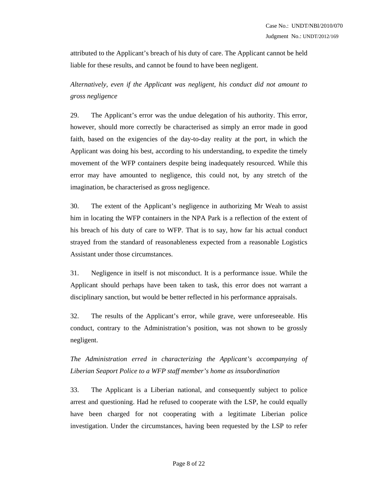attributed to the Applicant's breach of his duty of care. The Applicant cannot be held liable for these results, and cannot be found to have been negligent.

*Alternatively, even if the Applicant was negligent, his conduct did not amount to gross negligence* 

29. The Applicant's error was the undue delegation of his authority. This error, however, should more correctly be characterised as simply an error made in good faith, based on the exigencies of the day-to-day reality at the port, in which the Applicant was doing his best, according to his understanding, to expedite the timely movement of the WFP containers despite being inadequately resourced. While this error may have amounted to negligence, this could not, by any stretch of the imagination, be characterised as gross negligence.

30. The extent of the Applicant's negligence in authorizing Mr Weah to assist him in locating the WFP containers in the NPA Park is a reflection of the extent of his breach of his duty of care to WFP. That is to say, how far his actual conduct strayed from the standard of reasonableness expected from a reasonable Logistics Assistant under those circumstances.

31. Negligence in itself is not misconduct. It is a performance issue. While the Applicant should perhaps have been taken to task, this error does not warrant a disciplinary sanction, but would be better reflected in his performance appraisals.

32. The results of the Applicant's error, while grave, were unforeseeable. His conduct, contrary to the Administration's position, was not shown to be grossly negligent.

*The Administration erred in characterizing the Applicant's accompanying of Liberian Seaport Police to a WFP staff member's home as insubordination* 

33. The Applicant is a Liberian national, and consequently subject to police arrest and questioning. Had he refused to cooperate with the LSP, he could equally have been charged for not cooperating with a legitimate Liberian police investigation. Under the circumstances, having been requested by the LSP to refer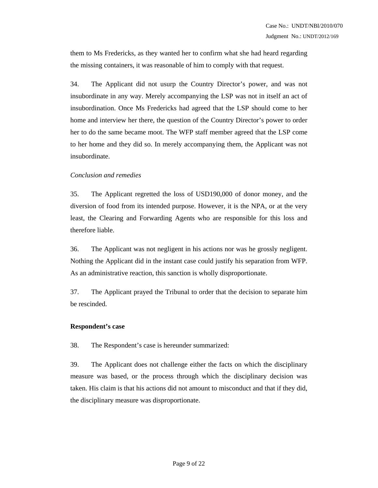them to Ms Fredericks, as they wanted her to confirm what she had heard regarding the missing containers, it was reasonable of him to comply with that request.

34. The Applicant did not usurp the Country Director's power, and was not insubordinate in any way. Merely accompanying the LSP was not in itself an act of insubordination. Once Ms Fredericks had agreed that the LSP should come to her home and interview her there, the question of the Country Director's power to order her to do the same became moot. The WFP staff member agreed that the LSP come to her home and they did so. In merely accompanying them, the Applicant was not insubordinate.

#### *Conclusion and remedies*

35. The Applicant regretted the loss of USD190,000 of donor money, and the diversion of food from its intended purpose. However, it is the NPA, or at the very least, the Clearing and Forwarding Agents who are responsible for this loss and therefore liable.

36. The Applicant was not negligent in his actions nor was he grossly negligent. Nothing the Applicant did in the instant case could justify his separation from WFP. As an administrative reaction, this sanction is wholly disproportionate.

37. The Applicant prayed the Tribunal to order that the decision to separate him be rescinded.

#### **Respondent's case**

38. The Respondent's case is hereunder summarized:

39. The Applicant does not challenge either the facts on which the disciplinary measure was based, or the process through which the disciplinary decision was taken. His claim is that his actions did not amount to misconduct and that if they did, the disciplinary measure was disproportionate.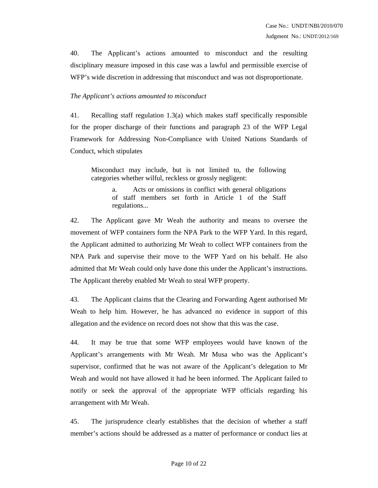40. The Applicant's actions amounted to misconduct and the resulting disciplinary measure imposed in this case was a lawful and permissible exercise of WFP's wide discretion in addressing that misconduct and was not disproportionate.

#### *The Applicant's actions amounted to misconduct*

41. Recalling staff regulation 1.3(a) which makes staff specifically responsible for the proper discharge of their functions and paragraph 23 of the WFP Legal Framework for Addressing Non-Compliance with United Nations Standards of Conduct, which stipulates

Misconduct may include, but is not limited to, the following categories whether wilful, reckless or grossly negligent:

> a. Acts or omissions in conflict with general obligations of staff members set forth in Article 1 of the Staff regulations...

42. The Applicant gave Mr Weah the authority and means to oversee the movement of WFP containers form the NPA Park to the WFP Yard. In this regard, the Applicant admitted to authorizing Mr Weah to collect WFP containers from the NPA Park and supervise their move to the WFP Yard on his behalf. He also admitted that Mr Weah could only have done this under the Applicant's instructions. The Applicant thereby enabled Mr Weah to steal WFP property.

43. The Applicant claims that the Clearing and Forwarding Agent authorised Mr Weah to help him. However, he has advanced no evidence in support of this allegation and the evidence on record does not show that this was the case.

44. It may be true that some WFP employees would have known of the Applicant's arrangements with Mr Weah. Mr Musa who was the Applicant's supervisor, confirmed that he was not aware of the Applicant's delegation to Mr Weah and would not have allowed it had he been informed. The Applicant failed to notify or seek the approval of the appropriate WFP officials regarding his arrangement with Mr Weah.

45. The jurisprudence clearly establishes that the decision of whether a staff member's actions should be addressed as a matter of performance or conduct lies at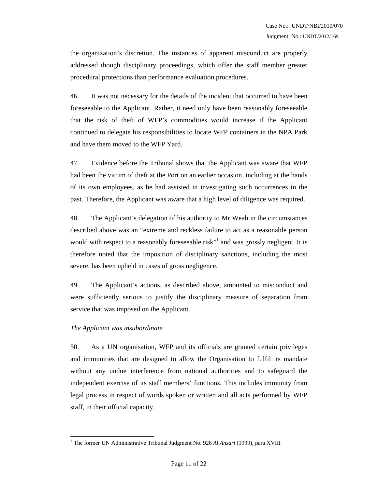the organization's discretion. The instances of apparent misconduct are properly addressed though disciplinary proceedings, which offer the staff member greater procedural protections than performance evaluation procedures.

46. It was not necessary for the details of the incident that occurred to have been foreseeable to the Applicant. Rather, it need only have been reasonably foreseeable that the risk of theft of WFP's commodities would increase if the Applicant continued to delegate his responsibilities to locate WFP containers in the NPA Park and have them moved to the WFP Yard.

47. Evidence before the Tribunal shows that the Applicant was aware that WFP had been the victim of theft at the Port on an earlier occasion, including at the hands of its own employees, as he had assisted in investigating such occurrences in the past. Therefore, the Applicant was aware that a high level of diligence was required.

48. The Applicant's delegation of his authority to Mr Weah in the circumstances described above was an "extreme and reckless failure to act as a reasonable person would with respect to a reasonably foreseeable risk<sup>"</sup> and was grossly negligent. It is therefore noted that the imposition of disciplinary sanctions, including the most severe, has been upheld in cases of gross negligence.

49. The Applicant's actions, as described above, amounted to misconduct and were sufficiently serious to justify the disciplinary measure of separation from service that was imposed on the Applicant.

#### *The Applicant was insubordinate*

 $\overline{a}$ 

50. As a UN organisation, WFP and its officials are granted certain privileges and immunities that are designed to allow the Organisation to fulfil its mandate without any undue interference from national authorities and to safeguard the independent exercise of its staff members' functions. This includes immunity from legal process in respect of words spoken or written and all acts performed by WFP staff, in their official capacity.

<sup>&</sup>lt;sup>1</sup> The former UN Administrative Tribunal Judgment No. 926 Al Ansari (1999), para XVIII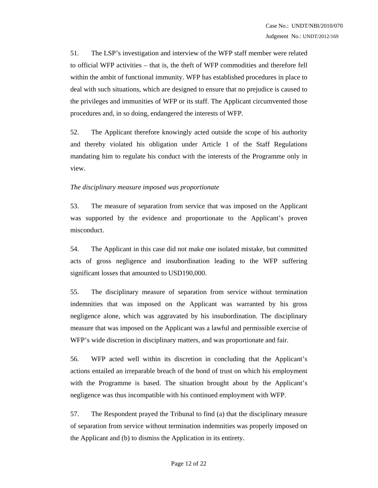51. The LSP's investigation and interview of the WFP staff member were related to official WFP activities – that is, the theft of WFP commodities and therefore fell within the ambit of functional immunity. WFP has established procedures in place to deal with such situations, which are designed to ensure that no prejudice is caused to the privileges and immunities of WFP or its staff. The Applicant circumvented those procedures and, in so doing, endangered the interests of WFP.

52. The Applicant therefore knowingly acted outside the scope of his authority and thereby violated his obligation under Article 1 of the Staff Regulations mandating him to regulate his conduct with the interests of the Programme only in view.

#### *The disciplinary measure imposed was proportionate*

53. The measure of separation from service that was imposed on the Applicant was supported by the evidence and proportionate to the Applicant's proven misconduct.

54. The Applicant in this case did not make one isolated mistake, but committed acts of gross negligence and insubordination leading to the WFP suffering significant losses that amounted to USD190,000.

55. The disciplinary measure of separation from service without termination indemnities that was imposed on the Applicant was warranted by his gross negligence alone, which was aggravated by his insubordination. The disciplinary measure that was imposed on the Applicant was a lawful and permissible exercise of WFP's wide discretion in disciplinary matters, and was proportionate and fair.

56. WFP acted well within its discretion in concluding that the Applicant's actions entailed an irreparable breach of the bond of trust on which his employment with the Programme is based. The situation brought about by the Applicant's negligence was thus incompatible with his continued employment with WFP.

57. The Respondent prayed the Tribunal to find (a) that the disciplinary measure of separation from service without termination indemnities was properly imposed on the Applicant and (b) to dismiss the Application in its entirety.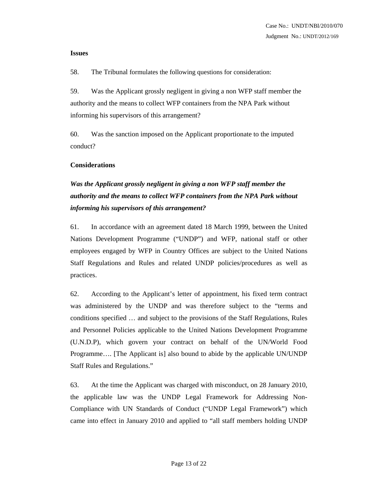#### **Issues**

58. The Tribunal formulates the following questions for consideration:

59. Was the Applicant grossly negligent in giving a non WFP staff member the authority and the means to collect WFP containers from the NPA Park without informing his supervisors of this arrangement?

60. Was the sanction imposed on the Applicant proportionate to the imputed conduct?

#### **Considerations**

# *Was the Applicant grossly negligent in giving a non WFP staff member the authority and the means to collect WFP containers from the NPA Park without informing his supervisors of this arrangement?*

61. In accordance with an agreement dated 18 March 1999, between the United Nations Development Programme ("UNDP") and WFP, national staff or other employees engaged by WFP in Country Offices are subject to the United Nations Staff Regulations and Rules and related UNDP policies/procedures as well as practices.

62. According to the Applicant's letter of appointment, his fixed term contract was administered by the UNDP and was therefore subject to the "terms and conditions specified … and subject to the provisions of the Staff Regulations, Rules and Personnel Policies applicable to the United Nations Development Programme (U.N.D.P), which govern your contract on behalf of the UN/World Food Programme…. [The Applicant is] also bound to abide by the applicable UN/UNDP Staff Rules and Regulations."

63. At the time the Applicant was charged with misconduct, on 28 January 2010, the applicable law was the UNDP Legal Framework for Addressing Non-Compliance with UN Standards of Conduct ("UNDP Legal Framework") which came into effect in January 2010 and applied to "all staff members holding UNDP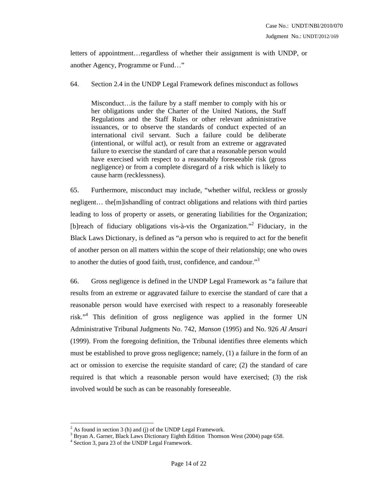letters of appointment…regardless of whether their assignment is with UNDP, or another Agency, Programme or Fund…"

64. Section 2.4 in the UNDP Legal Framework defines misconduct as follows

Misconduct…is the failure by a staff member to comply with his or her obligations under the Charter of the United Nations, the Staff Regulations and the Staff Rules or other relevant administrative issuances, or to observe the standards of conduct expected of an international civil servant. Such a failure could be deliberate (intentional, or wilful act), or result from an extreme or aggravated failure to exercise the standard of care that a reasonable person would have exercised with respect to a reasonably foreseeable risk (gross negligence) or from a complete disregard of a risk which is likely to cause harm (recklessness).

65. Furthermore, misconduct may include, "whether wilful, reckless or grossly negligent… the[m]ishandling of contract obligations and relations with third parties leading to loss of property or assets, or generating liabilities for the Organization; [b]reach of fiduciary obligations vis-à-vis the Organization."<sup>2</sup> Fiduciary, in the Black Laws Dictionary, is defined as "a person who is required to act for the benefit of another person on all matters within the scope of their relationship; one who owes to another the duties of good faith, trust, confidence, and candour."3

66. Gross negligence is defined in the UNDP Legal Framework as "a failure that results from an extreme or aggravated failure to exercise the standard of care that a reasonable person would have exercised with respect to a reasonably foreseeable risk."<sup>4</sup> This definition of gross negligence was applied in the former UN Administrative Tribunal Judgments No. 742, *Manson* (1995) and No. 926 *Al Ansari* (1999). From the foregoing definition, the Tribunal identifies three elements which must be established to prove gross negligence; namely, (1) a failure in the form of an act or omission to exercise the requisite standard of care; (2) the standard of care required is that which a reasonable person would have exercised; (3) the risk involved would be such as can be reasonably foreseeable.

 $\overline{a}$ 

 $2^2$  As found in section 3 (h) and (j) of the UNDP Legal Framework.

<sup>&</sup>lt;sup>3</sup> Bryan A. Garner, Black Laws Dictionary Eighth Edition Thomson West (2004) page 658.

<sup>4</sup> Section 3, para 23 of the UNDP Legal Framework.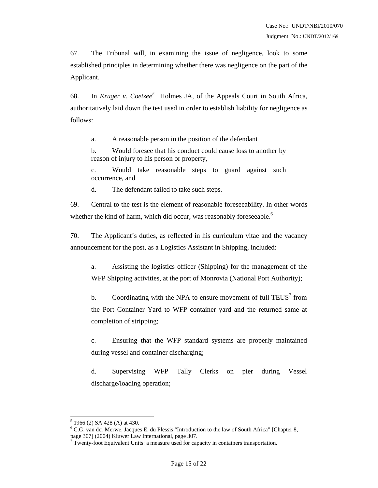67. The Tribunal will, in examining the issue of negligence, look to some established principles in determining whether there was negligence on the part of the Applicant.

68. In *Kruger v. Coetzee<sup>5</sup>* Holmes JA, of the Appeals Court in South Africa, authoritatively laid down the test used in order to establish liability for negligence as follows:

a. A reasonable person in the position of the defendant

b. Would foresee that his conduct could cause loss to another by reason of injury to his person or property,

c. Would take reasonable steps to guard against such occurrence, and

d. The defendant failed to take such steps.

69. Central to the test is the element of reasonable foreseeability. In other words whether the kind of harm, which did occur, was reasonably foreseeable.<sup>6</sup>

70. The Applicant's duties, as reflected in his curriculum vitae and the vacancy announcement for the post, as a Logistics Assistant in Shipping, included:

a. Assisting the logistics officer (Shipping) for the management of the WFP Shipping activities, at the port of Monrovia (National Port Authority);

b. Coordinating with the NPA to ensure movement of full  $TEUS<sup>7</sup>$  from the Port Container Yard to WFP container yard and the returned same at completion of stripping;

c. Ensuring that the WFP standard systems are properly maintained during vessel and container discharging;

d. Supervising WFP Tally Clerks on pier during Vessel discharge/loading operation;

 $\overline{a}$ 

 $5$  1966 (2) SA 428 (A) at 430.

<sup>&</sup>lt;sup>6</sup> C.G. van der Merwe, Jacques E. du Plessis "Introduction to the law of South Africa" [Chapter 8, page 307] (2004) Kluwer Law International, page 307. 7

Twenty-foot Equivalent Units: a measure used for capacity in containers transportation.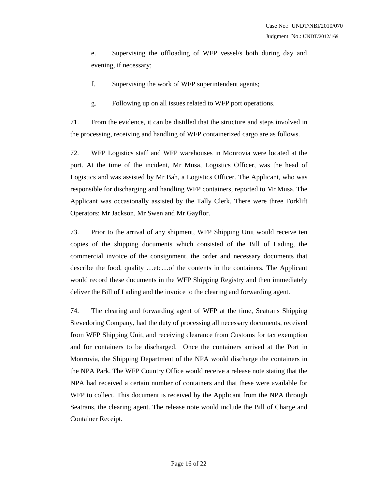e. Supervising the offloading of WFP vessel/s both during day and evening, if necessary;

f. Supervising the work of WFP superintendent agents;

g. Following up on all issues related to WFP port operations.

71. From the evidence, it can be distilled that the structure and steps involved in the processing, receiving and handling of WFP containerized cargo are as follows.

72. WFP Logistics staff and WFP warehouses in Monrovia were located at the port. At the time of the incident, Mr Musa, Logistics Officer, was the head of Logistics and was assisted by Mr Bah, a Logistics Officer. The Applicant, who was responsible for discharging and handling WFP containers, reported to Mr Musa. The Applicant was occasionally assisted by the Tally Clerk. There were three Forklift Operators: Mr Jackson, Mr Swen and Mr Gayflor.

73. Prior to the arrival of any shipment, WFP Shipping Unit would receive ten copies of the shipping documents which consisted of the Bill of Lading, the commercial invoice of the consignment, the order and necessary documents that describe the food, quality …etc…of the contents in the containers. The Applicant would record these documents in the WFP Shipping Registry and then immediately deliver the Bill of Lading and the invoice to the clearing and forwarding agent.

74. The clearing and forwarding agent of WFP at the time, Seatrans Shipping Stevedoring Company, had the duty of processing all necessary documents, received from WFP Shipping Unit, and receiving clearance from Customs for tax exemption and for containers to be discharged. Once the containers arrived at the Port in Monrovia, the Shipping Department of the NPA would discharge the containers in the NPA Park. The WFP Country Office would receive a release note stating that the NPA had received a certain number of containers and that these were available for WFP to collect. This document is received by the Applicant from the NPA through Seatrans, the clearing agent. The release note would include the Bill of Charge and Container Receipt.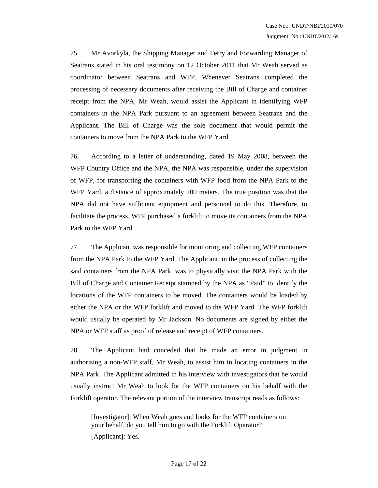75. Mr Avorkyla, the Shipping Manager and Ferry and Forwarding Manager of Seatrans stated in his oral testimony on 12 October 2011 that Mr Weah served as coordinator between Seatrans and WFP. Whenever Seatrans completed the processing of necessary documents after receiving the Bill of Charge and container receipt from the NPA, Mr Weah, would assist the Applicant in identifying WFP containers in the NPA Park pursuant to an agreement between Seatrans and the Applicant. The Bill of Charge was the sole document that would permit the containers to move from the NPA Park to the WFP Yard.

76. According to a letter of understanding, dated 19 May 2008, between the WFP Country Office and the NPA, the NPA was responsible, under the supervision of WFP, for transporting the containers with WFP food from the NPA Park to the WFP Yard, a distance of approximately 200 meters. The true position was that the NPA did not have sufficient equipment and personnel to do this. Therefore, to facilitate the process, WFP purchased a forklift to move its containers from the NPA Park to the WFP Yard.

77. The Applicant was responsible for monitoring and collecting WFP containers from the NPA Park to the WFP Yard. The Applicant, in the process of collecting the said containers from the NPA Park, was to physically visit the NPA Park with the Bill of Charge and Container Receipt stamped by the NPA as "Paid" to identify the locations of the WFP containers to be moved. The containers would be loaded by either the NPA or the WFP forklift and moved to the WFP Yard. The WFP forklift would usually be operated by Mr Jackson. No documents are signed by either the NPA or WFP staff as proof of release and receipt of WFP containers.

78. The Applicant had conceded that he made an error in judgment in authorising a non-WFP staff, Mr Weah, to assist him in locating containers in the NPA Park. The Applicant admitted in his interview with investigators that he would usually instruct Mr Weah to look for the WFP containers on his behalf with the Forklift operator. The relevant portion of the interview transcript reads as follows:

[Investigator]: When Weah goes and looks for the WFP containers on your behalf, do you tell him to go with the Forklift Operator? [Applicant]: Yes.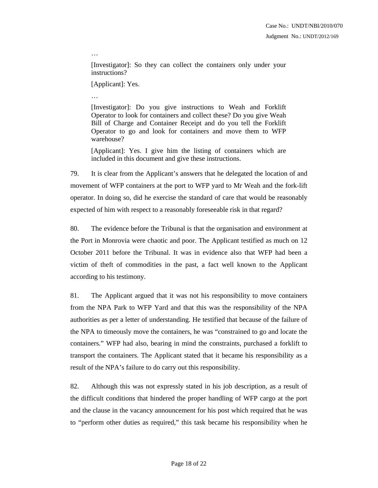[Investigator]: So they can collect the containers only under your instructions?

[Applicant]: Yes.

…

…

[Investigator]: Do you give instructions to Weah and Forklift

Operator to look for containers and collect these? Do you give Weah Bill of Charge and Container Receipt and do you tell the Forklift Operator to go and look for containers and move them to WFP warehouse?

[Applicant]: Yes. I give him the listing of containers which are included in this document and give these instructions.

79. It is clear from the Applicant's answers that he delegated the location of and movement of WFP containers at the port to WFP yard to Mr Weah and the fork-lift operator. In doing so, did he exercise the standard of care that would be reasonably expected of him with respect to a reasonably foreseeable risk in that regard?

80. The evidence before the Tribunal is that the organisation and environment at the Port in Monrovia were chaotic and poor. The Applicant testified as much on 12 October 2011 before the Tribunal. It was in evidence also that WFP had been a victim of theft of commodities in the past, a fact well known to the Applicant according to his testimony.

81. The Applicant argued that it was not his responsibility to move containers from the NPA Park to WFP Yard and that this was the responsibility of the NPA authorities as per a letter of understanding. He testified that because of the failure of the NPA to timeously move the containers, he was "constrained to go and locate the containers." WFP had also, bearing in mind the constraints, purchased a forklift to transport the containers. The Applicant stated that it became his responsibility as a result of the NPA's failure to do carry out this responsibility.

82. Although this was not expressly stated in his job description, as a result of the difficult conditions that hindered the proper handling of WFP cargo at the port and the clause in the vacancy announcement for his post which required that he was to "perform other duties as required," this task became his responsibility when he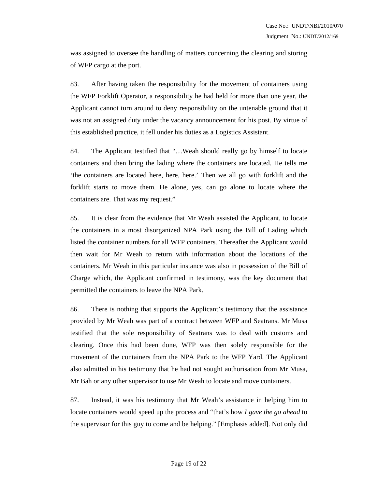was assigned to oversee the handling of matters concerning the clearing and storing of WFP cargo at the port.

83. After having taken the responsibility for the movement of containers using the WFP Forklift Operator, a responsibility he had held for more than one year, the Applicant cannot turn around to deny responsibility on the untenable ground that it was not an assigned duty under the vacancy announcement for his post. By virtue of this established practice, it fell under his duties as a Logistics Assistant.

84. The Applicant testified that "…Weah should really go by himself to locate containers and then bring the lading where the containers are located. He tells me 'the containers are located here, here, here.' Then we all go with forklift and the forklift starts to move them. He alone, yes, can go alone to locate where the containers are. That was my request."

85. It is clear from the evidence that Mr Weah assisted the Applicant, to locate the containers in a most disorganized NPA Park using the Bill of Lading which listed the container numbers for all WFP containers. Thereafter the Applicant would then wait for Mr Weah to return with information about the locations of the containers. Mr Weah in this particular instance was also in possession of the Bill of Charge which, the Applicant confirmed in testimony, was the key document that permitted the containers to leave the NPA Park.

86. There is nothing that supports the Applicant's testimony that the assistance provided by Mr Weah was part of a contract between WFP and Seatrans. Mr Musa testified that the sole responsibility of Seatrans was to deal with customs and clearing. Once this had been done, WFP was then solely responsible for the movement of the containers from the NPA Park to the WFP Yard. The Applicant also admitted in his testimony that he had not sought authorisation from Mr Musa, Mr Bah or any other supervisor to use Mr Weah to locate and move containers.

87. Instead, it was his testimony that Mr Weah's assistance in helping him to locate containers would speed up the process and "that's how *I gave the go ahead* to the supervisor for this guy to come and be helping." [Emphasis added]. Not only did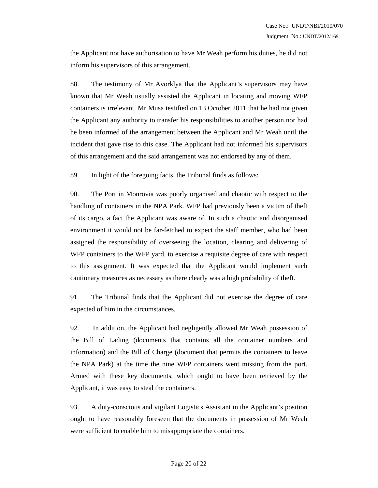the Applicant not have authorisation to have Mr Weah perform his duties, he did not inform his supervisors of this arrangement.

88. The testimony of Mr Avorklya that the Applicant's supervisors may have known that Mr Weah usually assisted the Applicant in locating and moving WFP containers is irrelevant. Mr Musa testified on 13 October 2011 that he had not given the Applicant any authority to transfer his responsibilities to another person nor had he been informed of the arrangement between the Applicant and Mr Weah until the incident that gave rise to this case. The Applicant had not informed his supervisors of this arrangement and the said arrangement was not endorsed by any of them.

89. In light of the foregoing facts, the Tribunal finds as follows:

90. The Port in Monrovia was poorly organised and chaotic with respect to the handling of containers in the NPA Park. WFP had previously been a victim of theft of its cargo, a fact the Applicant was aware of. In such a chaotic and disorganised environment it would not be far-fetched to expect the staff member, who had been assigned the responsibility of overseeing the location, clearing and delivering of WFP containers to the WFP yard, to exercise a requisite degree of care with respect to this assignment. It was expected that the Applicant would implement such cautionary measures as necessary as there clearly was a high probability of theft.

91. The Tribunal finds that the Applicant did not exercise the degree of care expected of him in the circumstances.

92. In addition, the Applicant had negligently allowed Mr Weah possession of the Bill of Lading (documents that contains all the container numbers and information) and the Bill of Charge (document that permits the containers to leave the NPA Park) at the time the nine WFP containers went missing from the port. Armed with these key documents, which ought to have been retrieved by the Applicant, it was easy to steal the containers.

93. A duty-conscious and vigilant Logistics Assistant in the Applicant's position ought to have reasonably foreseen that the documents in possession of Mr Weah were sufficient to enable him to misappropriate the containers.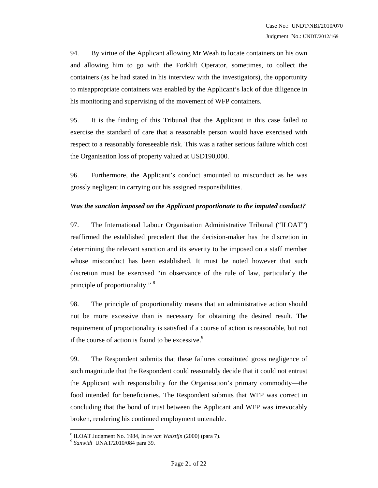94. By virtue of the Applicant allowing Mr Weah to locate containers on his own and allowing him to go with the Forklift Operator, sometimes, to collect the containers (as he had stated in his interview with the investigators), the opportunity to misappropriate containers was enabled by the Applicant's lack of due diligence in his monitoring and supervising of the movement of WFP containers.

95. It is the finding of this Tribunal that the Applicant in this case failed to exercise the standard of care that a reasonable person would have exercised with respect to a reasonably foreseeable risk. This was a rather serious failure which cost the Organisation loss of property valued at USD190,000.

96. Furthermore, the Applicant's conduct amounted to misconduct as he was grossly negligent in carrying out his assigned responsibilities.

#### *Was the sanction imposed on the Applicant proportionate to the imputed conduct?*

97. The International Labour Organisation Administrative Tribunal ("ILOAT") reaffirmed the established precedent that the decision-maker has the discretion in determining the relevant sanction and its severity to be imposed on a staff member whose misconduct has been established. It must be noted however that such discretion must be exercised "in observance of the rule of law, particularly the principle of proportionality." 8

98. The principle of proportionality means that an administrative action should not be more excessive than is necessary for obtaining the desired result. The requirement of proportionality is satisfied if a course of action is reasonable, but not if the course of action is found to be excessive. $\degree$ 

99. The Respondent submits that these failures constituted gross negligence of such magnitude that the Respondent could reasonably decide that it could not entrust the Applicant with responsibility for the Organisation's primary commodity—the food intended for beneficiaries. The Respondent submits that WFP was correct in concluding that the bond of trust between the Applicant and WFP was irrevocably broken, rendering his continued employment untenable.

 $\overline{a}$ 

<sup>8</sup> ILOAT Judgment No. 1984, In re *van Walstijn* (2000) (para 7). 9 *Sanwidi* UNAT/2010/084 para 39.